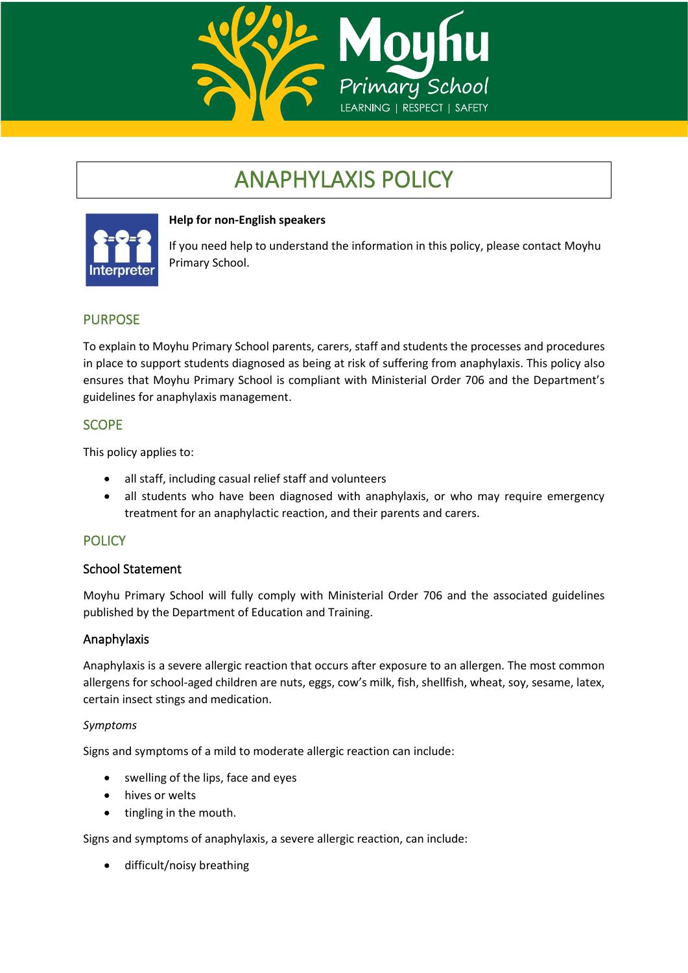

# ANAPHYLAXIS POLICY



# **Help for non-English speakers**

If you need help to understand the information in this policy, please contact Moyhu Primary School.

# PURPOSE

To explain to Moyhu Primary School parents, carers, staff and students the processes and procedures in place to support students diagnosed as being at risk of suffering from anaphylaxis. This policy also ensures that Moyhu Primary School is compliant with Ministerial Order 706 and the Department's guidelines for anaphylaxis management.

# SCOPE

This policy applies to:

- all staff, including casual relief staff and volunteers
- all students who have been diagnosed with anaphylaxis, or who may require emergency treatment for an anaphylactic reaction, and their parents and carers.

# **POLICY**

## School Statement

Moyhu Primary School will fully comply with Ministerial Order 706 and the associated guidelines published by the Department of Education and Training.

## Anaphylaxis

Anaphylaxis is a severe allergic reaction that occurs after exposure to an allergen. The most common allergens for school-aged children are nuts, eggs, cow's milk, fish, shellfish, wheat, soy, sesame, latex, certain insect stings and medication.

## *Symptoms*

Signs and symptoms of a mild to moderate allergic reaction can include:

- swelling of the lips, face and eyes
- hives or welts
- tingling in the mouth.

Signs and symptoms of anaphylaxis, a severe allergic reaction, can include:

• difficult/noisy breathing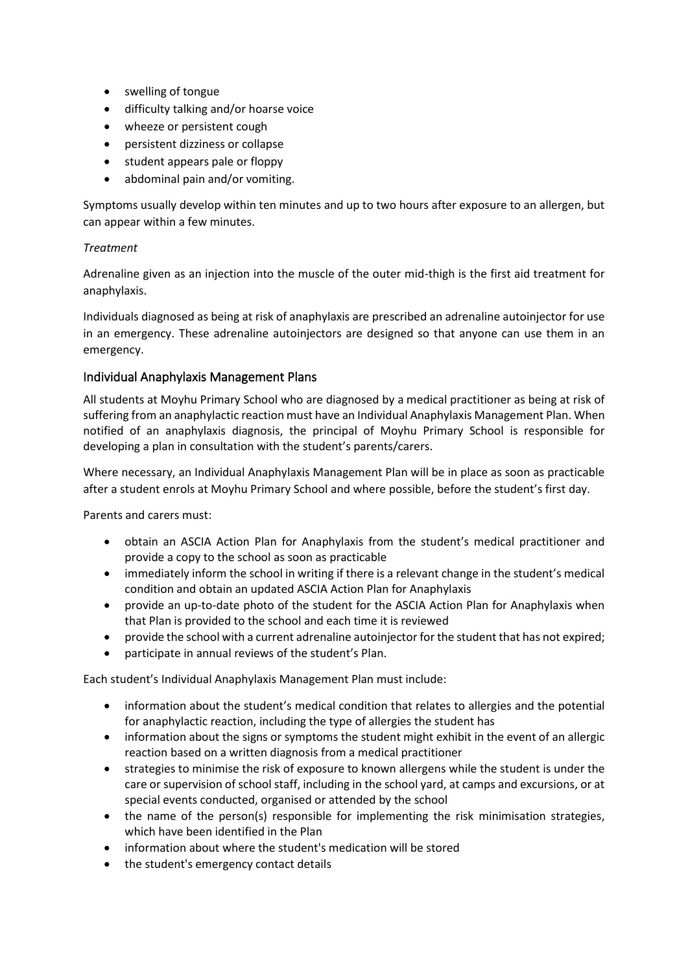- swelling of tongue
- difficulty talking and/or hoarse voice
- wheeze or persistent cough
- persistent dizziness or collapse
- student appears pale or floppy
- abdominal pain and/or vomiting.

Symptoms usually develop within ten minutes and up to two hours after exposure to an allergen, but can appear within a few minutes.

#### *Treatment*

Adrenaline given as an injection into the muscle of the outer mid-thigh is the first aid treatment for anaphylaxis.

Individuals diagnosed as being at risk of anaphylaxis are prescribed an adrenaline autoinjector for use in an emergency. These adrenaline autoinjectors are designed so that anyone can use them in an emergency.

## Individual Anaphylaxis Management Plans

All students at Moyhu Primary School who are diagnosed by a medical practitioner as being at risk of suffering from an anaphylactic reaction must have an Individual Anaphylaxis Management Plan. When notified of an anaphylaxis diagnosis, the principal of Moyhu Primary School is responsible for developing a plan in consultation with the student's parents/carers.

Where necessary, an Individual Anaphylaxis Management Plan will be in place as soon as practicable after a student enrols at Moyhu Primary School and where possible, before the student's first day.

Parents and carers must:

- obtain an ASCIA Action Plan for Anaphylaxis from the student's medical practitioner and provide a copy to the school as soon as practicable
- immediately inform the school in writing if there is a relevant change in the student's medical condition and obtain an updated ASCIA Action Plan for Anaphylaxis
- provide an up-to-date photo of the student for the ASCIA Action Plan for Anaphylaxis when that Plan is provided to the school and each time it is reviewed
- provide the school with a current adrenaline autoinjector for the student that has not expired;
- participate in annual reviews of the student's Plan.

Each student's Individual Anaphylaxis Management Plan must include:

- information about the student's medical condition that relates to allergies and the potential for anaphylactic reaction, including the type of allergies the student has
- information about the signs or symptoms the student might exhibit in the event of an allergic reaction based on a written diagnosis from a medical practitioner
- strategies to minimise the risk of exposure to known allergens while the student is under the care or supervision of school staff, including in the school yard, at camps and excursions, or at special events conducted, organised or attended by the school
- the name of the person(s) responsible for implementing the risk minimisation strategies, which have been identified in the Plan
- information about where the student's medication will be stored
- the student's emergency contact details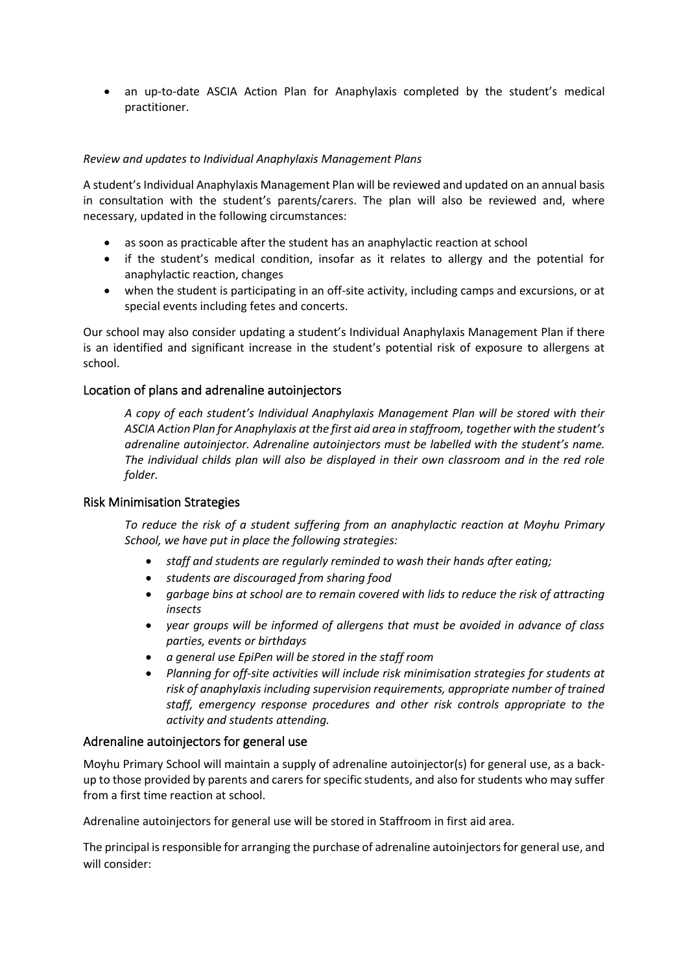• an up-to-date ASCIA Action Plan for Anaphylaxis completed by the student's medical practitioner.

#### *Review and updates to Individual Anaphylaxis Management Plans*

A student's Individual Anaphylaxis Management Plan will be reviewed and updated on an annual basis in consultation with the student's parents/carers. The plan will also be reviewed and, where necessary, updated in the following circumstances:

- as soon as practicable after the student has an anaphylactic reaction at school
- if the student's medical condition, insofar as it relates to allergy and the potential for anaphylactic reaction, changes
- when the student is participating in an off-site activity, including camps and excursions, or at special events including fetes and concerts.

Our school may also consider updating a student's Individual Anaphylaxis Management Plan if there is an identified and significant increase in the student's potential risk of exposure to allergens at school.

#### Location of plans and adrenaline autoinjectors

*A copy of each student's Individual Anaphylaxis Management Plan will be stored with their ASCIA Action Plan for Anaphylaxis at the first aid area in staffroom, together with the student's adrenaline autoinjector. Adrenaline autoinjectors must be labelled with the student's name. The individual childs plan will also be displayed in their own classroom and in the red role folder.*

#### Risk Minimisation Strategies

*To reduce the risk of a student suffering from an anaphylactic reaction at Moyhu Primary School, we have put in place the following strategies:*

- *staff and students are regularly reminded to wash their hands after eating;*
- *students are discouraged from sharing food*
- *garbage bins at school are to remain covered with lids to reduce the risk of attracting insects*
- *year groups will be informed of allergens that must be avoided in advance of class parties, events or birthdays*
- *a general use EpiPen will be stored in the staff room*
- *Planning for off-site activities will include risk minimisation strategies for students at risk of anaphylaxis including supervision requirements, appropriate number of trained staff, emergency response procedures and other risk controls appropriate to the activity and students attending.*

#### Adrenaline autoinjectors for general use

Moyhu Primary School will maintain a supply of adrenaline autoinjector(s) for general use, as a backup to those provided by parents and carers for specific students, and also for students who may suffer from a first time reaction at school.

Adrenaline autoinjectors for general use will be stored in Staffroom in first aid area.

The principal is responsible for arranging the purchase of adrenaline autoinjectors for general use, and will consider: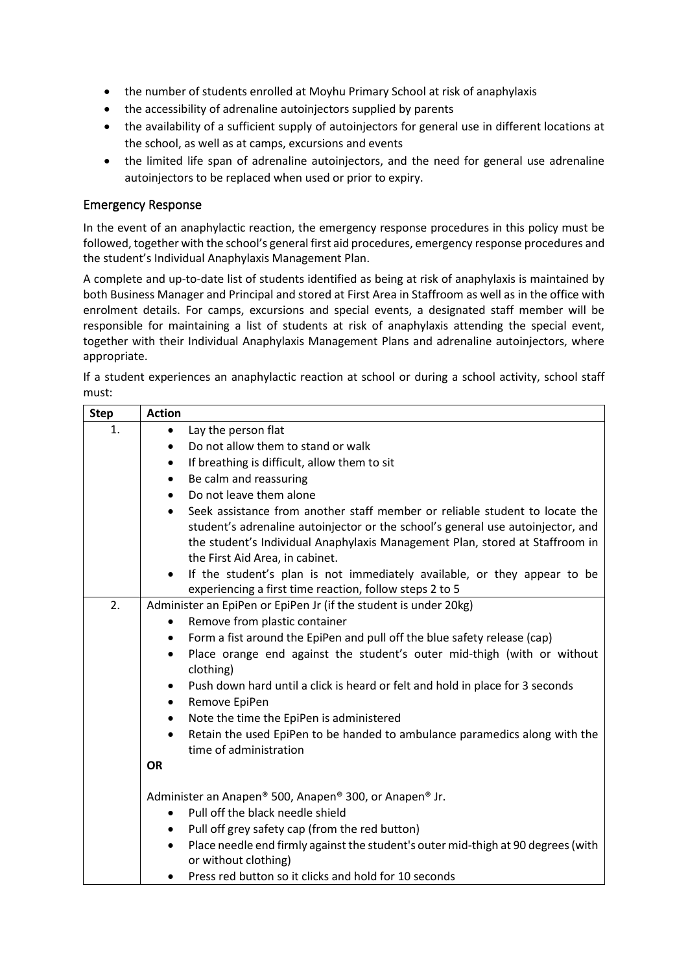- the number of students enrolled at Moyhu Primary School at risk of anaphylaxis
- the accessibility of adrenaline autoinjectors supplied by parents
- the availability of a sufficient supply of autoinjectors for general use in different locations at the school, as well as at camps, excursions and events
- the limited life span of adrenaline autoinjectors, and the need for general use adrenaline autoinjectors to be replaced when used or prior to expiry.

## Emergency Response

In the event of an anaphylactic reaction, the emergency response procedures in this policy must be followed, together with the school's general first aid procedures, emergency response procedures and the student's Individual Anaphylaxis Management Plan.

A complete and up-to-date list of students identified as being at risk of anaphylaxis is maintained by both Business Manager and Principal and stored at First Area in Staffroom as well as in the office with enrolment details. For camps, excursions and special events, a designated staff member will be responsible for maintaining a list of students at risk of anaphylaxis attending the special event, together with their Individual Anaphylaxis Management Plans and adrenaline autoinjectors, where appropriate.

If a student experiences an anaphylactic reaction at school or during a school activity, school staff must:

| <b>Step</b> | <b>Action</b>                                                                                                          |
|-------------|------------------------------------------------------------------------------------------------------------------------|
| 1.          | Lay the person flat<br>$\bullet$                                                                                       |
|             | Do not allow them to stand or walk<br>$\bullet$                                                                        |
|             | If breathing is difficult, allow them to sit<br>٠                                                                      |
|             | Be calm and reassuring<br>$\bullet$                                                                                    |
|             | Do not leave them alone<br>$\bullet$                                                                                   |
|             | Seek assistance from another staff member or reliable student to locate the<br>$\bullet$                               |
|             | student's adrenaline autoinjector or the school's general use autoinjector, and                                        |
|             | the student's Individual Anaphylaxis Management Plan, stored at Staffroom in                                           |
|             | the First Aid Area, in cabinet.                                                                                        |
|             | If the student's plan is not immediately available, or they appear to be<br>$\bullet$                                  |
|             | experiencing a first time reaction, follow steps 2 to 5                                                                |
| 2.          | Administer an EpiPen or EpiPen Jr (if the student is under 20kg)                                                       |
|             | Remove from plastic container<br>$\bullet$                                                                             |
|             | Form a fist around the EpiPen and pull off the blue safety release (cap)<br>$\bullet$                                  |
|             | Place orange end against the student's outer mid-thigh (with or without<br>$\bullet$<br>clothing)                      |
|             | Push down hard until a click is heard or felt and hold in place for 3 seconds<br>$\bullet$                             |
|             | Remove EpiPen<br>$\bullet$                                                                                             |
|             | Note the time the EpiPen is administered<br>$\bullet$                                                                  |
|             | Retain the used EpiPen to be handed to ambulance paramedics along with the<br>$\bullet$<br>time of administration      |
|             | <b>OR</b>                                                                                                              |
|             | Administer an Anapen® 500, Anapen® 300, or Anapen® Jr.                                                                 |
|             | Pull off the black needle shield<br>$\bullet$                                                                          |
|             | Pull off grey safety cap (from the red button)<br>$\bullet$                                                            |
|             | Place needle end firmly against the student's outer mid-thigh at 90 degrees (with<br>$\bullet$<br>or without clothing) |
|             | Press red button so it clicks and hold for 10 seconds<br>$\bullet$                                                     |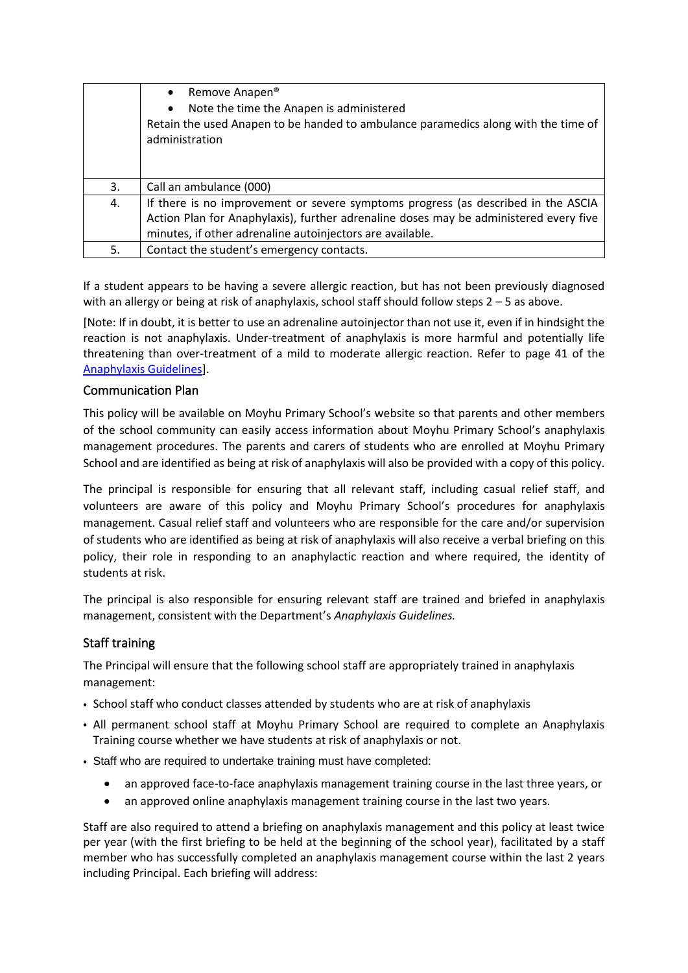|    | Remove Anapen <sup>®</sup><br>$\bullet$<br>Note the time the Anapen is administered<br>$\bullet$<br>Retain the used Anapen to be handed to ambulance paramedics along with the time of<br>administration                                |
|----|-----------------------------------------------------------------------------------------------------------------------------------------------------------------------------------------------------------------------------------------|
| 3. | Call an ambulance (000)                                                                                                                                                                                                                 |
| 4. | If there is no improvement or severe symptoms progress (as described in the ASCIA<br>Action Plan for Anaphylaxis), further adrenaline doses may be administered every five<br>minutes, if other adrenaline autoinjectors are available. |
| 5. | Contact the student's emergency contacts.                                                                                                                                                                                               |

If a student appears to be having a severe allergic reaction, but has not been previously diagnosed with an allergy or being at risk of anaphylaxis, school staff should follow steps 2 – 5 as above.

[Note: If in doubt, it is better to use an adrenaline autoinjector than not use it, even if in hindsight the reaction is not anaphylaxis. Under-treatment of anaphylaxis is more harmful and potentially life threatening than over-treatment of a mild to moderate allergic reaction. Refer to page 41 of the [Anaphylaxis](http://www.education.vic.gov.au/school/teachers/health/pages/anaphylaxisschl.aspx) Guidelines].

#### Communication Plan

This policy will be available on Moyhu Primary School's website so that parents and other members of the school community can easily access information about Moyhu Primary School's anaphylaxis management procedures. The parents and carers of students who are enrolled at Moyhu Primary School and are identified as being at risk of anaphylaxis will also be provided with a copy of this policy.

The principal is responsible for ensuring that all relevant staff, including casual relief staff, and volunteers are aware of this policy and Moyhu Primary School's procedures for anaphylaxis management. Casual relief staff and volunteers who are responsible for the care and/or supervision of students who are identified as being at risk of anaphylaxis will also receive a verbal briefing on this policy, their role in responding to an anaphylactic reaction and where required, the identity of students at risk.

The principal is also responsible for ensuring relevant staff are trained and briefed in anaphylaxis management, consistent with the Department's *Anaphylaxis Guidelines.*

## Staff training

The Principal will ensure that the following school staff are appropriately trained in anaphylaxis management:

- School staff who conduct classes attended by students who are at risk of anaphylaxis
- All permanent school staff at Moyhu Primary School are required to complete an Anaphylaxis Training course whether we have students at risk of anaphylaxis or not.
- Staff who are required to undertake training must have completed:
	- an approved face-to-face anaphylaxis management training course in the last three years, or
	- an approved online anaphylaxis management training course in the last two years.

Staff are also required to attend a briefing on anaphylaxis management and this policy at least twice per year (with the first briefing to be held at the beginning of the school year), facilitated by a staff member who has successfully completed an anaphylaxis management course within the last 2 years including Principal. Each briefing will address: